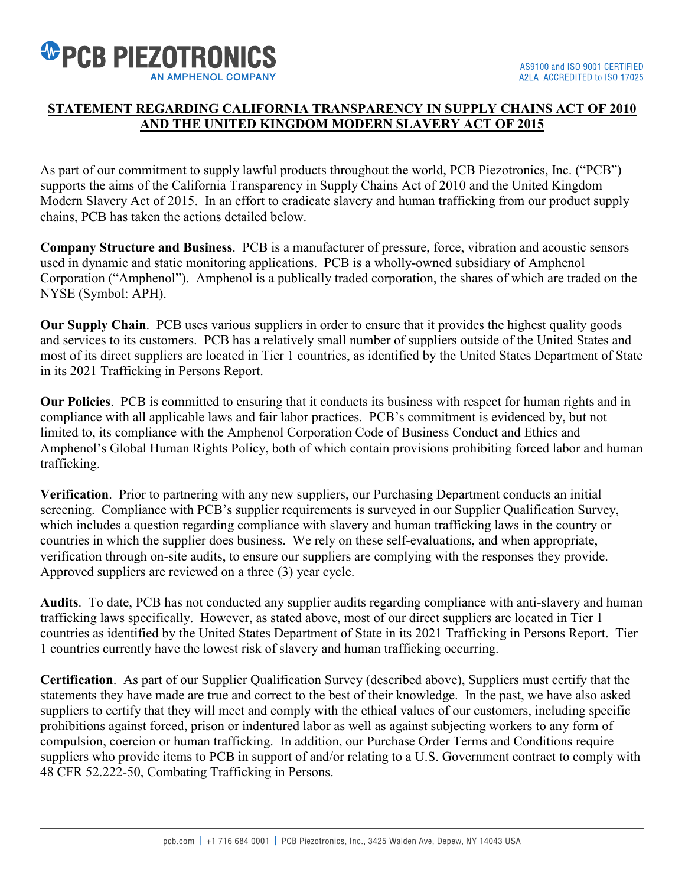

## **STATEMENT REGARDING CALIFORNIA TRANSPARENCY IN SUPPLY CHAINS ACT OF 2010 AND THE UNITED KINGDOM MODERN SLAVERY ACT OF 2015**

As part of our commitment to supply lawful products throughout the world, PCB Piezotronics, Inc. ("PCB") supports the aims of the California Transparency in Supply Chains Act of 2010 and the United Kingdom Modern Slavery Act of 2015. In an effort to eradicate slavery and human trafficking from our product supply chains, PCB has taken the actions detailed below.

**Company Structure and Business**. PCB is a manufacturer of pressure, force, vibration and acoustic sensors used in dynamic and static monitoring applications. PCB is a wholly-owned subsidiary of Amphenol Corporation ("Amphenol"). Amphenol is a publically traded corporation, the shares of which are traded on the NYSE (Symbol: APH).

**Our Supply Chain**. PCB uses various suppliers in order to ensure that it provides the highest quality goods and services to its customers. PCB has a relatively small number of suppliers outside of the United States and most of its direct suppliers are located in Tier 1 countries, as identified by the United States Department of State in its 2021 Trafficking in Persons Report.

**Our Policies**. PCB is committed to ensuring that it conducts its business with respect for human rights and in compliance with all applicable laws and fair labor practices. PCB's commitment is evidenced by, but not limited to, its compliance with the Amphenol Corporation Code of Business Conduct and Ethics and Amphenol's Global Human Rights Policy, both of which contain provisions prohibiting forced labor and human trafficking.

**Verification**. Prior to partnering with any new suppliers, our Purchasing Department conducts an initial screening. Compliance with PCB's supplier requirements is surveyed in our Supplier Qualification Survey, which includes a question regarding compliance with slavery and human trafficking laws in the country or countries in which the supplier does business. We rely on these self-evaluations, and when appropriate, verification through on-site audits, to ensure our suppliers are complying with the responses they provide. Approved suppliers are reviewed on a three (3) year cycle.

**Audits**. To date, PCB has not conducted any supplier audits regarding compliance with anti-slavery and human trafficking laws specifically. However, as stated above, most of our direct suppliers are located in Tier 1 countries as identified by the United States Department of State in its 2021 Trafficking in Persons Report. Tier 1 countries currently have the lowest risk of slavery and human trafficking occurring.

**Certification**. As part of our Supplier Qualification Survey (described above), Suppliers must certify that the statements they have made are true and correct to the best of their knowledge. In the past, we have also asked suppliers to certify that they will meet and comply with the ethical values of our customers, including specific prohibitions against forced, prison or indentured labor as well as against subjecting workers to any form of compulsion, coercion or human trafficking. In addition, our Purchase Order Terms and Conditions require suppliers who provide items to PCB in support of and/or relating to a U.S. Government contract to comply with 48 CFR 52.222-50, Combating Trafficking in Persons.